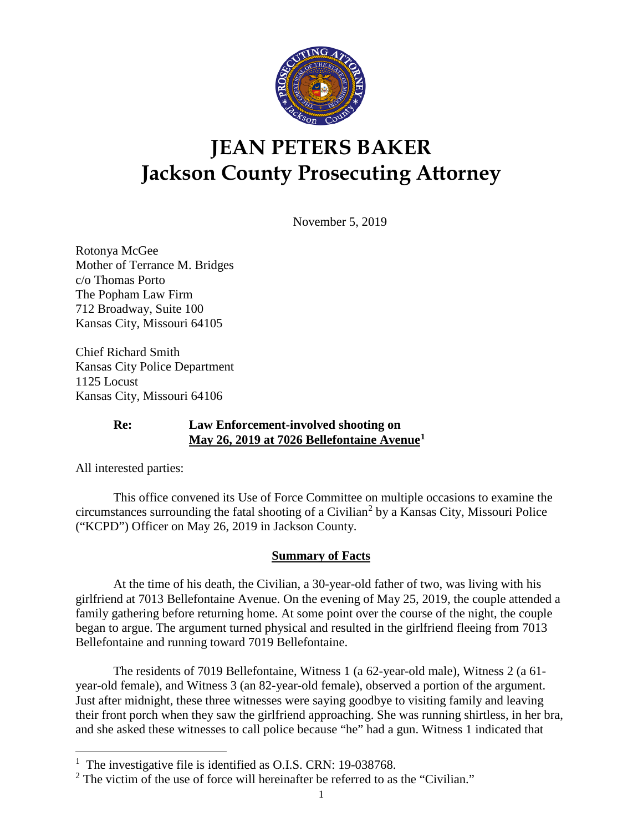

# **JEAN PETERS BAKER Jackson County Prosecuting Attorney**

November 5, 2019

Rotonya McGee Mother of Terrance M. Bridges c/o Thomas Porto The Popham Law Firm 712 Broadway, Suite 100 Kansas City, Missouri 64105

Chief Richard Smith Kansas City Police Department 1125 Locust Kansas City, Missouri 64106

## **Re: Law Enforcement-involved shooting on May 26, 2019 at 7026 Bellefontaine Avenue[1](#page-0-0)**

All interested parties:

This office convened its Use of Force Committee on multiple occasions to examine the circumstances surrounding the fatal shooting of a Civilian<sup>[2](#page-0-1)</sup> by a Kansas City, Missouri Police ("KCPD") Officer on May 26, 2019 in Jackson County.

## **Summary of Facts**

At the time of his death, the Civilian, a 30-year-old father of two, was living with his girlfriend at 7013 Bellefontaine Avenue. On the evening of May 25, 2019, the couple attended a family gathering before returning home. At some point over the course of the night, the couple began to argue. The argument turned physical and resulted in the girlfriend fleeing from 7013 Bellefontaine and running toward 7019 Bellefontaine.

The residents of 7019 Bellefontaine, Witness 1 (a 62-year-old male), Witness 2 (a 61 year-old female), and Witness 3 (an 82-year-old female), observed a portion of the argument. Just after midnight, these three witnesses were saying goodbye to visiting family and leaving their front porch when they saw the girlfriend approaching. She was running shirtless, in her bra, and she asked these witnesses to call police because "he" had a gun. Witness 1 indicated that

<span id="page-0-0"></span><sup>&</sup>lt;sup>1</sup> The investigative file is identified as O.I.S. CRN: 19-038768.

<span id="page-0-1"></span> $2$  The victim of the use of force will hereinafter be referred to as the "Civilian."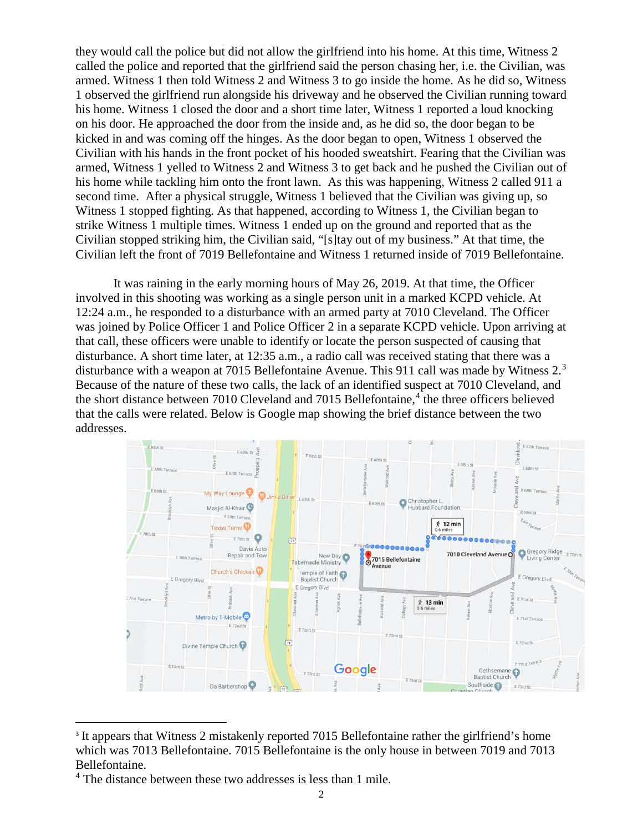they would call the police but did not allow the girlfriend into his home. At this time, Witness 2 called the police and reported that the girlfriend said the person chasing her, i.e. the Civilian, was armed. Witness 1 then told Witness 2 and Witness 3 to go inside the home. As he did so, Witness 1 observed the girlfriend run alongside his driveway and he observed the Civilian running toward his home. Witness 1 closed the door and a short time later, Witness 1 reported a loud knocking on his door. He approached the door from the inside and, as he did so, the door began to be kicked in and was coming off the hinges. As the door began to open, Witness 1 observed the Civilian with his hands in the front pocket of his hooded sweatshirt. Fearing that the Civilian was armed, Witness 1 yelled to Witness 2 and Witness 3 to get back and he pushed the Civilian out of his home while tackling him onto the front lawn. As this was happening, Witness 2 called 911 a second time. After a physical struggle, Witness 1 believed that the Civilian was giving up, so Witness 1 stopped fighting. As that happened, according to Witness 1, the Civilian began to strike Witness 1 multiple times. Witness 1 ended up on the ground and reported that as the Civilian stopped striking him, the Civilian said, "[s]tay out of my business." At that time, the Civilian left the front of 7019 Bellefontaine and Witness 1 returned inside of 7019 Bellefontaine.

It was raining in the early morning hours of May 26, 2019. At that time, the Officer involved in this shooting was working as a single person unit in a marked KCPD vehicle. At 12:24 a.m., he responded to a disturbance with an armed party at 7010 Cleveland. The Officer was joined by Police Officer 1 and Police Officer 2 in a separate KCPD vehicle. Upon arriving at that call, these officers were unable to identify or locate the person suspected of causing that disturbance. A short time later, at 12:35 a.m., a radio call was received stating that there was a disturbance with a weapon at 7015 Bellefontaine Avenue. This 911 call was made by Witness 2.<sup>[3](#page-1-0)</sup> Because of the nature of these two calls, the lack of an identified suspect at 7010 Cleveland, and the short distance between 7010 Cleveland and 7015 Bellefontaine, $4$  the three officers believed that the calls were related. Below is Google map showing the brief distance between the two addresses.



<sup>&</sup>lt;sup>3</sup> It appears that Witness 2 mistakenly reported 7015 Bellefontaine rather the girlfriend's home which was 7013 Bellefontaine. 7015 Bellefontaine is the only house in between 7019 and 7013 Bellefontaine.

<span id="page-1-1"></span><span id="page-1-0"></span><sup>&</sup>lt;sup>4</sup> The distance between these two addresses is less than 1 mile.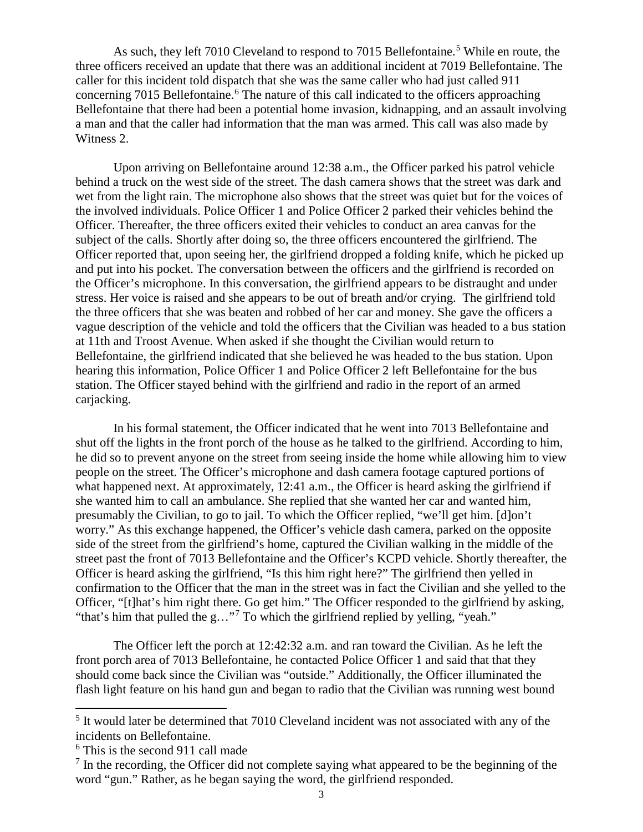As such, they left 7010 Cleveland to respond to 701[5](#page-2-0) Bellefontaine.<sup>5</sup> While en route, the three officers received an update that there was an additional incident at 7019 Bellefontaine. The caller for this incident told dispatch that she was the same caller who had just called 911 concerning 7015 Bellefontaine.<sup>[6](#page-2-1)</sup> The nature of this call indicated to the officers approaching Bellefontaine that there had been a potential home invasion, kidnapping, and an assault involving a man and that the caller had information that the man was armed. This call was also made by Witness 2.

Upon arriving on Bellefontaine around 12:38 a.m., the Officer parked his patrol vehicle behind a truck on the west side of the street. The dash camera shows that the street was dark and wet from the light rain. The microphone also shows that the street was quiet but for the voices of the involved individuals. Police Officer 1 and Police Officer 2 parked their vehicles behind the Officer. Thereafter, the three officers exited their vehicles to conduct an area canvas for the subject of the calls. Shortly after doing so, the three officers encountered the girlfriend. The Officer reported that, upon seeing her, the girlfriend dropped a folding knife, which he picked up and put into his pocket. The conversation between the officers and the girlfriend is recorded on the Officer's microphone. In this conversation, the girlfriend appears to be distraught and under stress. Her voice is raised and she appears to be out of breath and/or crying. The girlfriend told the three officers that she was beaten and robbed of her car and money. She gave the officers a vague description of the vehicle and told the officers that the Civilian was headed to a bus station at 11th and Troost Avenue. When asked if she thought the Civilian would return to Bellefontaine, the girlfriend indicated that she believed he was headed to the bus station. Upon hearing this information, Police Officer 1 and Police Officer 2 left Bellefontaine for the bus station. The Officer stayed behind with the girlfriend and radio in the report of an armed carjacking.

In his formal statement, the Officer indicated that he went into 7013 Bellefontaine and shut off the lights in the front porch of the house as he talked to the girlfriend. According to him, he did so to prevent anyone on the street from seeing inside the home while allowing him to view people on the street. The Officer's microphone and dash camera footage captured portions of what happened next. At approximately, 12:41 a.m., the Officer is heard asking the girlfriend if she wanted him to call an ambulance. She replied that she wanted her car and wanted him, presumably the Civilian, to go to jail. To which the Officer replied, "we'll get him. [d]on't worry." As this exchange happened, the Officer's vehicle dash camera, parked on the opposite side of the street from the girlfriend's home, captured the Civilian walking in the middle of the street past the front of 7013 Bellefontaine and the Officer's KCPD vehicle. Shortly thereafter, the Officer is heard asking the girlfriend, "Is this him right here?" The girlfriend then yelled in confirmation to the Officer that the man in the street was in fact the Civilian and she yelled to the Officer, "[t]hat's him right there. Go get him." The Officer responded to the girlfriend by asking, "that's him that pulled the g…"[7](#page-2-2) To which the girlfriend replied by yelling, "yeah."

The Officer left the porch at 12:42:32 a.m. and ran toward the Civilian. As he left the front porch area of 7013 Bellefontaine, he contacted Police Officer 1 and said that that they should come back since the Civilian was "outside." Additionally, the Officer illuminated the flash light feature on his hand gun and began to radio that the Civilian was running west bound

<span id="page-2-0"></span><sup>&</sup>lt;sup>5</sup> It would later be determined that 7010 Cleveland incident was not associated with any of the incidents on Bellefontaine.

<span id="page-2-1"></span><sup>6</sup> This is the second 911 call made

<span id="page-2-2"></span> $<sup>7</sup>$  In the recording, the Officer did not complete saying what appeared to be the beginning of the</sup> word "gun." Rather, as he began saying the word, the girlfriend responded.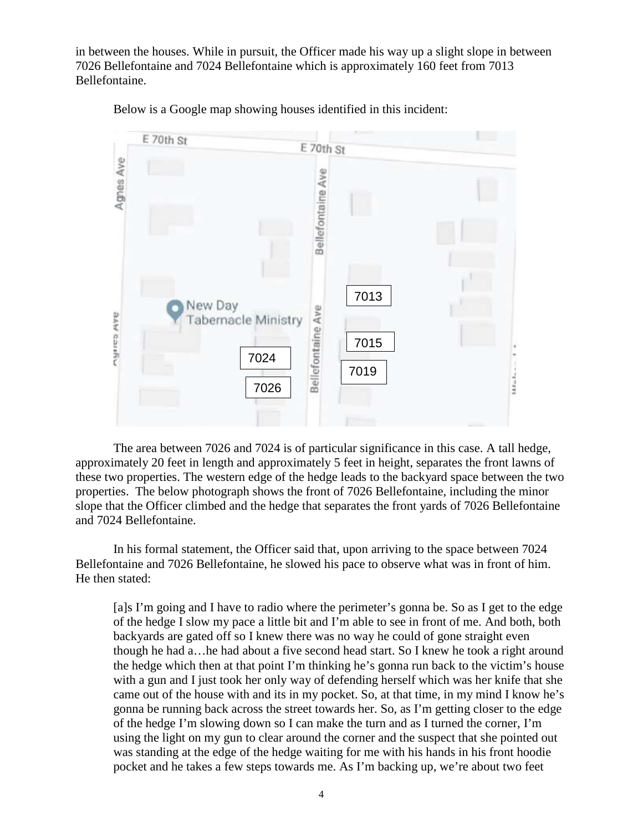in between the houses. While in pursuit, the Officer made his way up a slight slope in between 7026 Bellefontaine and 7024 Bellefontaine which is approximately 160 feet from 7013 Bellefontaine.



Below is a Google map showing houses identified in this incident:

The area between 7026 and 7024 is of particular significance in this case. A tall hedge, approximately 20 feet in length and approximately 5 feet in height, separates the front lawns of these two properties. The western edge of the hedge leads to the backyard space between the two properties. The below photograph shows the front of 7026 Bellefontaine, including the minor slope that the Officer climbed and the hedge that separates the front yards of 7026 Bellefontaine and 7024 Bellefontaine.

In his formal statement, the Officer said that, upon arriving to the space between 7024 Bellefontaine and 7026 Bellefontaine, he slowed his pace to observe what was in front of him. He then stated:

[a]s I'm going and I have to radio where the perimeter's gonna be. So as I get to the edge of the hedge I slow my pace a little bit and I'm able to see in front of me. And both, both backyards are gated off so I knew there was no way he could of gone straight even though he had a…he had about a five second head start. So I knew he took a right around the hedge which then at that point I'm thinking he's gonna run back to the victim's house with a gun and I just took her only way of defending herself which was her knife that she came out of the house with and its in my pocket. So, at that time, in my mind I know he's gonna be running back across the street towards her. So, as I'm getting closer to the edge of the hedge I'm slowing down so I can make the turn and as I turned the corner, I'm using the light on my gun to clear around the corner and the suspect that she pointed out was standing at the edge of the hedge waiting for me with his hands in his front hoodie pocket and he takes a few steps towards me. As I'm backing up, we're about two feet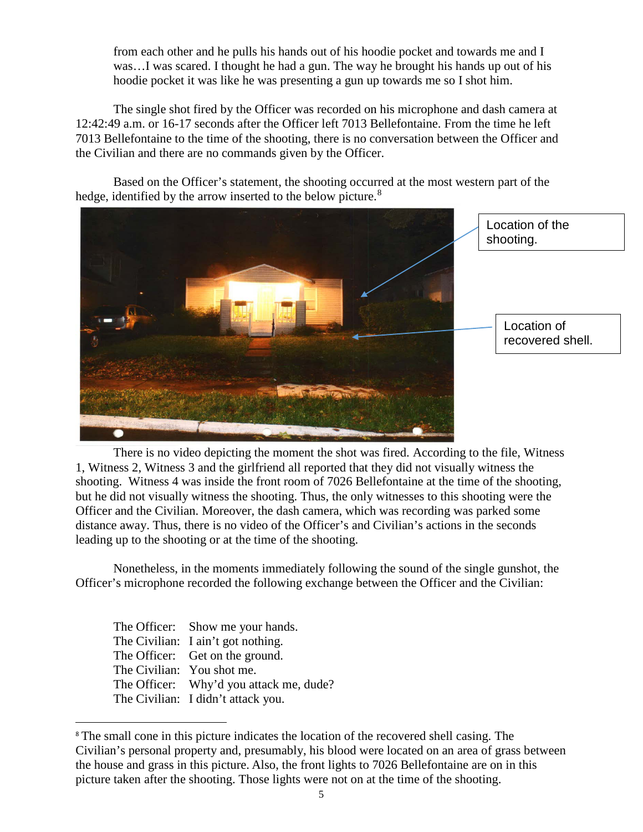from each other and he pulls his hands out of his hoodie pocket and towards me and I was…I was scared. I thought he had a gun. The way he brought his hands up out of his hoodie pocket it was like he was presenting a gun up towards me so I shot him.

The single shot fired by the Officer was recorded on his microphone and dash camera at 12:42:49 a.m. or 16-17 seconds after the Officer left 7013 Bellefontaine. From the time he left 7013 Bellefontaine to the time of the shooting, there is no conversation between the Officer and the Civilian and there are no commands given by the Officer.

Based on the Officer's statement, the shooting occurred at the most western part of the hedge, identified by the arrow inserted to the below picture.<sup>[8](#page-4-0)</sup>



There is no video depicting the moment the shot was fired. According to the file, Witness 1, Witness 2, Witness 3 and the girlfriend all reported that they did not visually witness the shooting. Witness 4 was inside the front room of 7026 Bellefontaine at the time of the shooting, but he did not visually witness the shooting. Thus, the only witnesses to this shooting were the Officer and the Civilian. Moreover, the dash camera, which was recording was parked some distance away. Thus, there is no video of the Officer's and Civilian's actions in the seconds leading up to the shooting or at the time of the shooting.

Nonetheless, in the moments immediately following the sound of the single gunshot, the Officer's microphone recorded the following exchange between the Officer and the Civilian:

| The Officer: Show me your hands.        |
|-----------------------------------------|
| The Civilian: I ain't got nothing.      |
| The Officer: Get on the ground.         |
| The Civilian: You shot me.              |
| The Officer: Why'd you attack me, dude? |
| The Civilian: I didn't attack you.      |

<span id="page-4-0"></span><sup>&</sup>lt;sup>8</sup> The small cone in this picture indicates the location of the recovered shell casing. The Civilian's personal property and, presumably, his blood were located on an area of grass between the house and grass in this picture. Also, the front lights to 7026 Bellefontaine are on in this picture taken after the shooting. Those lights were not on at the time of the shooting.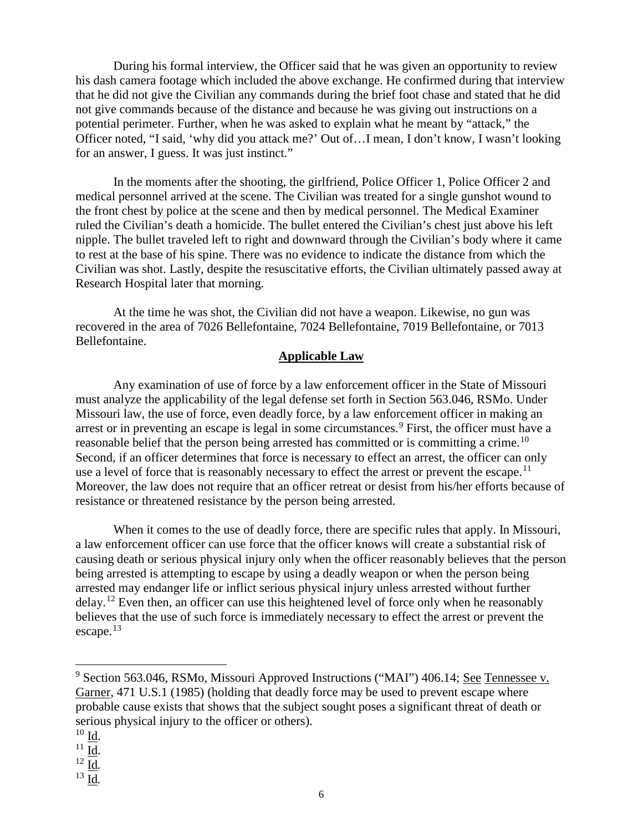During his formal interview, the Officer said that he was given an opportunity to review his dash camera footage which included the above exchange. He confirmed during that interview that he did not give the Civilian any commands during the brief foot chase and stated that he did not give commands because of the distance and because he was giving out instructions on a potential perimeter. Further, when he was asked to explain what he meant by "attack," the Officer noted, "I said, 'why did you attack me?' Out of…I mean, I don't know, I wasn't looking for an answer, I guess. It was just instinct."

In the moments after the shooting, the girlfriend, Police Officer 1, Police Officer 2 and medical personnel arrived at the scene. The Civilian was treated for a single gunshot wound to the front chest by police at the scene and then by medical personnel. The Medical Examiner ruled the Civilian's death a homicide. The bullet entered the Civilian's chest just above his left nipple. The bullet traveled left to right and downward through the Civilian's body where it came to rest at the base of his spine. There was no evidence to indicate the distance from which the Civilian was shot. Lastly, despite the resuscitative efforts, the Civilian ultimately passed away at Research Hospital later that morning.

At the time he was shot, the Civilian did not have a weapon. Likewise, no gun was recovered in the area of 7026 Bellefontaine, 7024 Bellefontaine, 7019 Bellefontaine, or 7013 Bellefontaine.

#### **Applicable Law**

Any examination of use of force by a law enforcement officer in the State of Missouri must analyze the applicability of the legal defense set forth in Section 563.046, RSMo. Under Missouri law, the use of force, even deadly force, by a law enforcement officer in making an arrest or in preventing an escape is legal in some circumstances.<sup>[9](#page-5-0)</sup> First, the officer must have a reasonable belief that the person being arrested has committed or is committing a crime.<sup>[10](#page-5-1)</sup> Second, if an officer determines that force is necessary to effect an arrest, the officer can only use a level of force that is reasonably necessary to effect the arrest or prevent the escape.<sup>[11](#page-5-2)</sup> Moreover, the law does not require that an officer retreat or desist from his/her efforts because of resistance or threatened resistance by the person being arrested.

When it comes to the use of deadly force, there are specific rules that apply. In Missouri, a law enforcement officer can use force that the officer knows will create a substantial risk of causing death or serious physical injury only when the officer reasonably believes that the person being arrested is attempting to escape by using a deadly weapon or when the person being arrested may endanger life or inflict serious physical injury unless arrested without further delay.<sup>[12](#page-5-3)</sup> Even then, an officer can use this heightened level of force only when he reasonably believes that the use of such force is immediately necessary to effect the arrest or prevent the escape. $13$ 

- <span id="page-5-3"></span><sup>12</sup> Id*.*
- <span id="page-5-4"></span><sup>13</sup> Id*.*

<span id="page-5-0"></span><sup>9</sup> Section 563.046, RSMo, Missouri Approved Instructions ("MAI") 406.14; See Tennessee v. Garner*,* 471 U.S.1 (1985) (holding that deadly force may be used to prevent escape where probable cause exists that shows that the subject sought poses a significant threat of death or serious physical injury to the officer or others).

<span id="page-5-1"></span> $^{10}$  Id.

<span id="page-5-2"></span> $11$  Id.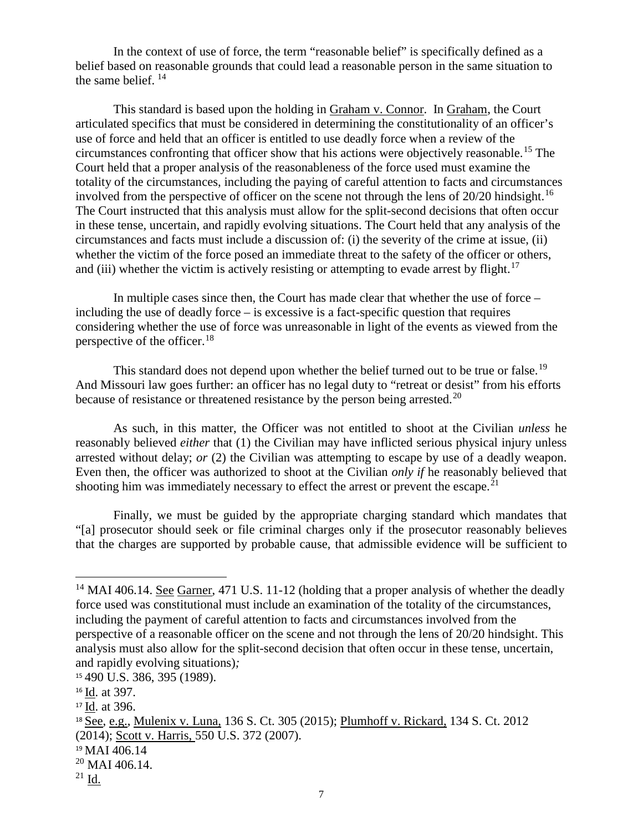In the context of use of force, the term "reasonable belief" is specifically defined as a belief based on reasonable grounds that could lead a reasonable person in the same situation to the same belief. [14](#page-6-0)

This standard is based upon the holding in Graham v. Connor. In Graham, the Court articulated specifics that must be considered in determining the constitutionality of an officer's use of force and held that an officer is entitled to use deadly force when a review of the circumstances confronting that officer show that his actions were objectively reasonable. [15](#page-6-1) The Court held that a proper analysis of the reasonableness of the force used must examine the totality of the circumstances, including the paying of careful attention to facts and circumstances involved from the perspective of officer on the scene not through the lens of  $20/20$  hindsight.<sup>[16](#page-6-2)</sup> The Court instructed that this analysis must allow for the split-second decisions that often occur in these tense, uncertain, and rapidly evolving situations. The Court held that any analysis of the circumstances and facts must include a discussion of: (i) the severity of the crime at issue, (ii) whether the victim of the force posed an immediate threat to the safety of the officer or others, and (iii) whether the victim is actively resisting or attempting to evade arrest by flight.<sup>17</sup>

In multiple cases since then, the Court has made clear that whether the use of force – including the use of deadly force – is excessive is a fact-specific question that requires considering whether the use of force was unreasonable in light of the events as viewed from the perspective of the officer.[18](#page-6-4)

This standard does not depend upon whether the belief turned out to be true or false.<sup>[19](#page-6-5)</sup> And Missouri law goes further: an officer has no legal duty to "retreat or desist" from his efforts because of resistance or threatened resistance by the person being arrested.<sup>[20](#page-6-6)</sup>

As such, in this matter, the Officer was not entitled to shoot at the Civilian *unless* he reasonably believed *either* that (1) the Civilian may have inflicted serious physical injury unless arrested without delay; *or* (2) the Civilian was attempting to escape by use of a deadly weapon. Even then, the officer was authorized to shoot at the Civilian *only if* he reasonably believed that shooting him was immediately necessary to effect the arrest or prevent the escape.<sup>[21](#page-6-7)</sup>

Finally, we must be guided by the appropriate charging standard which mandates that "[a] prosecutor should seek or file criminal charges only if the prosecutor reasonably believes that the charges are supported by probable cause, that admissible evidence will be sufficient to

<span id="page-6-0"></span><sup>&</sup>lt;sup>14</sup> MAI 406.14. See Garner, 471 U.S. 11-12 (holding that a proper analysis of whether the deadly force used was constitutional must include an examination of the totality of the circumstances, including the payment of careful attention to facts and circumstances involved from the perspective of a reasonable officer on the scene and not through the lens of 20/20 hindsight. This analysis must also allow for the split-second decision that often occur in these tense, uncertain, and rapidly evolving situations)*;* 

<span id="page-6-1"></span><sup>15</sup> 490 U.S. 386, 395 (1989).

<span id="page-6-2"></span><sup>16</sup> Id. at 397.

<span id="page-6-3"></span><sup>17</sup> Id. at 396.

<span id="page-6-4"></span><sup>&</sup>lt;sup>18</sup> See, e.g., Mulenix v. Luna, 136 S. Ct. 305 (2015); Plumhoff v. Rickard, 134 S. Ct. 2012 (2014); Scott v. Harris, 550 U.S. 372 (2007).

<span id="page-6-5"></span><sup>&</sup>lt;sup>19</sup> MAI 406.14

<span id="page-6-6"></span> $20$  MAI 406.14.

<span id="page-6-7"></span> $21$  Id.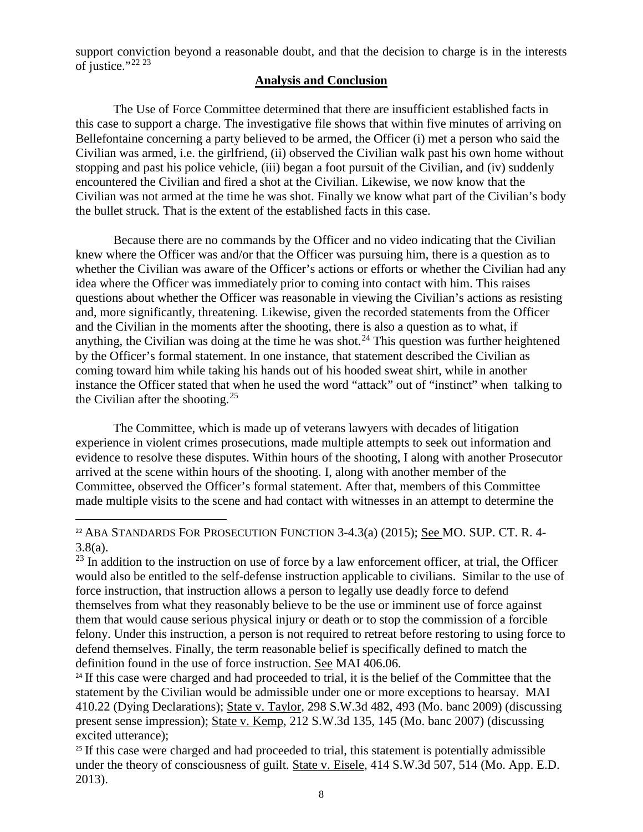support conviction beyond a reasonable doubt, and that the decision to charge is in the interests of justice."<sup>[22](#page-7-0) [23](#page-7-1)</sup>

#### **Analysis and Conclusion**

The Use of Force Committee determined that there are insufficient established facts in this case to support a charge. The investigative file shows that within five minutes of arriving on Bellefontaine concerning a party believed to be armed, the Officer (i) met a person who said the Civilian was armed, i.e. the girlfriend, (ii) observed the Civilian walk past his own home without stopping and past his police vehicle, (iii) began a foot pursuit of the Civilian, and (iv) suddenly encountered the Civilian and fired a shot at the Civilian. Likewise, we now know that the Civilian was not armed at the time he was shot. Finally we know what part of the Civilian's body the bullet struck. That is the extent of the established facts in this case.

Because there are no commands by the Officer and no video indicating that the Civilian knew where the Officer was and/or that the Officer was pursuing him, there is a question as to whether the Civilian was aware of the Officer's actions or efforts or whether the Civilian had any idea where the Officer was immediately prior to coming into contact with him. This raises questions about whether the Officer was reasonable in viewing the Civilian's actions as resisting and, more significantly, threatening. Likewise, given the recorded statements from the Officer and the Civilian in the moments after the shooting, there is also a question as to what, if anything, the Civilian was doing at the time he was shot.<sup>[24](#page-7-2)</sup> This question was further heightened by the Officer's formal statement. In one instance, that statement described the Civilian as coming toward him while taking his hands out of his hooded sweat shirt, while in another instance the Officer stated that when he used the word "attack" out of "instinct" when talking to the Civilian after the shooting.<sup>[25](#page-7-3)</sup>

The Committee, which is made up of veterans lawyers with decades of litigation experience in violent crimes prosecutions, made multiple attempts to seek out information and evidence to resolve these disputes. Within hours of the shooting, I along with another Prosecutor arrived at the scene within hours of the shooting. I, along with another member of the Committee, observed the Officer's formal statement. After that, members of this Committee made multiple visits to the scene and had contact with witnesses in an attempt to determine the

<span id="page-7-0"></span> $\overline{a}$ <sup>22</sup> ABA STANDARDS FOR PROSECUTION FUNCTION  $3-4.3(a)$  (2015); See MO. SUP. CT. R. 4-3.8(a).

<span id="page-7-1"></span><sup>23</sup> In addition to the instruction on use of force by a law enforcement officer, at trial, the Officer would also be entitled to the self-defense instruction applicable to civilians. Similar to the use of force instruction, that instruction allows a person to legally use deadly force to defend themselves from what they reasonably believe to be the use or imminent use of force against them that would cause serious physical injury or death or to stop the commission of a forcible felony. Under this instruction, a person is not required to retreat before restoring to using force to defend themselves. Finally, the term reasonable belief is specifically defined to match the definition found in the use of force instruction. See MAI 406.06.

<span id="page-7-2"></span><sup>24</sup> If this case were charged and had proceeded to trial, it is the belief of the Committee that the statement by the Civilian would be admissible under one or more exceptions to hearsay. MAI 410.22 (Dying Declarations); State v. Taylor, 298 S.W.3d 482, 493 (Mo. banc 2009) (discussing present sense impression); State v. Kemp, 212 S.W.3d 135, 145 (Mo. banc 2007) (discussing excited utterance);

<span id="page-7-3"></span><sup>25</sup> If this case were charged and had proceeded to trial, this statement is potentially admissible under the theory of consciousness of guilt. State v. Eisele, 414 S.W.3d 507, 514 (Mo. App. E.D. 2013).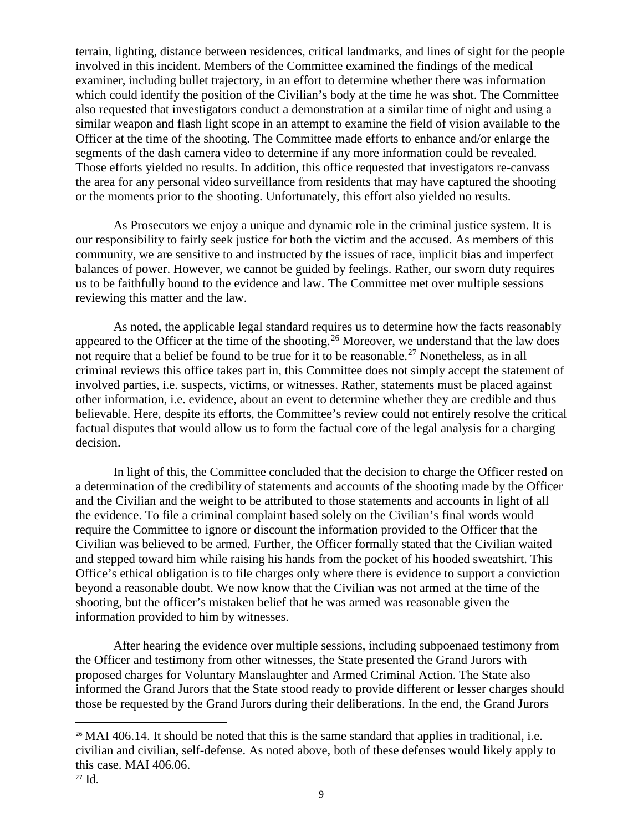terrain, lighting, distance between residences, critical landmarks, and lines of sight for the people involved in this incident. Members of the Committee examined the findings of the medical examiner, including bullet trajectory, in an effort to determine whether there was information which could identify the position of the Civilian's body at the time he was shot. The Committee also requested that investigators conduct a demonstration at a similar time of night and using a similar weapon and flash light scope in an attempt to examine the field of vision available to the Officer at the time of the shooting. The Committee made efforts to enhance and/or enlarge the segments of the dash camera video to determine if any more information could be revealed. Those efforts yielded no results. In addition, this office requested that investigators re-canvass the area for any personal video surveillance from residents that may have captured the shooting or the moments prior to the shooting. Unfortunately, this effort also yielded no results.

As Prosecutors we enjoy a unique and dynamic role in the criminal justice system. It is our responsibility to fairly seek justice for both the victim and the accused. As members of this community, we are sensitive to and instructed by the issues of race, implicit bias and imperfect balances of power. However, we cannot be guided by feelings. Rather, our sworn duty requires us to be faithfully bound to the evidence and law. The Committee met over multiple sessions reviewing this matter and the law.

As noted, the applicable legal standard requires us to determine how the facts reasonably appeared to the Officer at the time of the shooting.<sup>[26](#page-8-0)</sup> Moreover, we understand that the law does not require that a belief be found to be true for it to be reasonable.<sup>[27](#page-8-1)</sup> Nonetheless, as in all criminal reviews this office takes part in, this Committee does not simply accept the statement of involved parties, i.e. suspects, victims, or witnesses. Rather, statements must be placed against other information, i.e. evidence, about an event to determine whether they are credible and thus believable. Here, despite its efforts, the Committee's review could not entirely resolve the critical factual disputes that would allow us to form the factual core of the legal analysis for a charging decision.

In light of this, the Committee concluded that the decision to charge the Officer rested on a determination of the credibility of statements and accounts of the shooting made by the Officer and the Civilian and the weight to be attributed to those statements and accounts in light of all the evidence. To file a criminal complaint based solely on the Civilian's final words would require the Committee to ignore or discount the information provided to the Officer that the Civilian was believed to be armed. Further, the Officer formally stated that the Civilian waited and stepped toward him while raising his hands from the pocket of his hooded sweatshirt. This Office's ethical obligation is to file charges only where there is evidence to support a conviction beyond a reasonable doubt. We now know that the Civilian was not armed at the time of the shooting, but the officer's mistaken belief that he was armed was reasonable given the information provided to him by witnesses.

After hearing the evidence over multiple sessions, including subpoenaed testimony from the Officer and testimony from other witnesses, the State presented the Grand Jurors with proposed charges for Voluntary Manslaughter and Armed Criminal Action. The State also informed the Grand Jurors that the State stood ready to provide different or lesser charges should those be requested by the Grand Jurors during their deliberations. In the end, the Grand Jurors

<span id="page-8-1"></span><span id="page-8-0"></span><sup>&</sup>lt;sup>26</sup> MAI 406.14. It should be noted that this is the same standard that applies in traditional, i.e. civilian and civilian, self-defense. As noted above, both of these defenses would likely apply to this case. MAI 406.06.